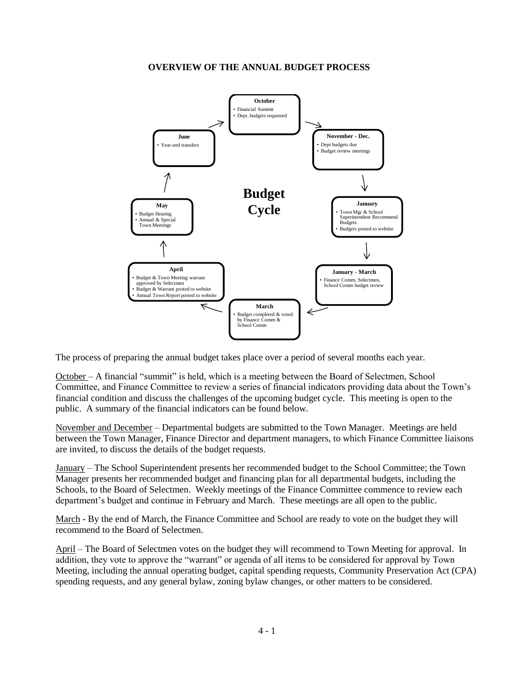#### **OVERVIEW OF THE ANNUAL BUDGET PROCESS**



The process of preparing the annual budget takes place over a period of several months each year.

October – A financial "summit" is held, which is a meeting between the Board of Selectmen, School Committee, and Finance Committee to review a series of financial indicators providing data about the Town's financial condition and discuss the challenges of the upcoming budget cycle. This meeting is open to the public. A summary of the financial indicators can be found below.

November and December – Departmental budgets are submitted to the Town Manager. Meetings are held between the Town Manager, Finance Director and department managers, to which Finance Committee liaisons are invited, to discuss the details of the budget requests.

January – The School Superintendent presents her recommended budget to the School Committee; the Town Manager presents her recommended budget and financing plan for all departmental budgets, including the Schools, to the Board of Selectmen. Weekly meetings of the Finance Committee commence to review each department's budget and continue in February and March. These meetings are all open to the public.

March - By the end of March, the Finance Committee and School are ready to vote on the budget they will recommend to the Board of Selectmen.

April – The Board of Selectmen votes on the budget they will recommend to Town Meeting for approval. In addition, they vote to approve the "warrant" or agenda of all items to be considered for approval by Town Meeting, including the annual operating budget, capital spending requests, Community Preservation Act (CPA) spending requests, and any general bylaw, zoning bylaw changes, or other matters to be considered.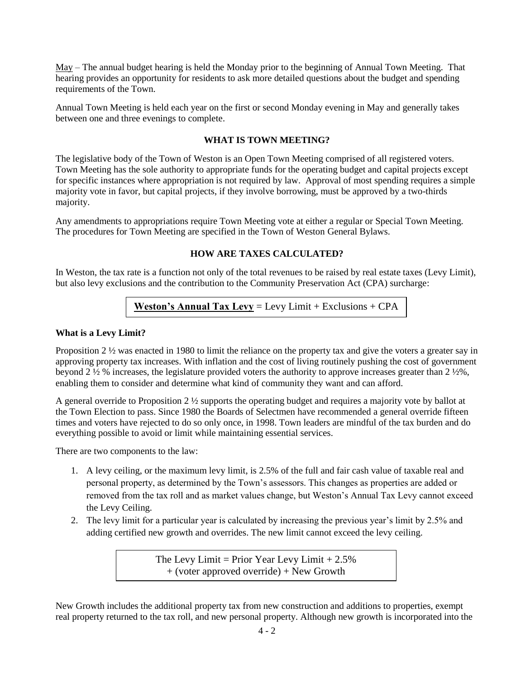May – The annual budget hearing is held the Monday prior to the beginning of Annual Town Meeting. That hearing provides an opportunity for residents to ask more detailed questions about the budget and spending requirements of the Town.

Annual Town Meeting is held each year on the first or second Monday evening in May and generally takes between one and three evenings to complete.

#### **WHAT IS TOWN MEETING?**

The legislative body of the Town of Weston is an Open Town Meeting comprised of all registered voters. Town Meeting has the sole authority to appropriate funds for the operating budget and capital projects except for specific instances where appropriation is not required by law. Approval of most spending requires a simple majority vote in favor, but capital projects, if they involve borrowing, must be approved by a two-thirds majority.

Any amendments to appropriations require Town Meeting vote at either a regular or Special Town Meeting. The procedures for Town Meeting are specified in the Town of Weston General Bylaws.

#### **HOW ARE TAXES CALCULATED?**

In Weston, the tax rate is a function not only of the total revenues to be raised by real estate taxes (Levy Limit), but also levy exclusions and the contribution to the Community Preservation Act (CPA) surcharge:

**Weston's Annual Tax Levy** = Levy Limit + Exclusions + CPA Surcharge

#### **What is a Levy Limit?**

Proposition 2 ½ was enacted in 1980 to limit the reliance on the property tax and give the voters a greater say in approving property tax increases. With inflation and the cost of living routinely pushing the cost of government beyond 2 ½ % increases, the legislature provided voters the authority to approve increases greater than 2 ½%, enabling them to consider and determine what kind of community they want and can afford.

A general override to Proposition 2 ½ supports the operating budget and requires a majority vote by ballot at the Town Election to pass. Since 1980 the Boards of Selectmen have recommended a general override fifteen times and voters have rejected to do so only once, in 1998. Town leaders are mindful of the tax burden and do everything possible to avoid or limit while maintaining essential services.

There are two components to the law:

- 1. A levy ceiling, or the maximum levy limit, is 2.5% of the full and fair cash value of taxable real and personal property, as determined by the Town's assessors. This changes as properties are added or removed from the tax roll and as market values change, but Weston's Annual Tax Levy cannot exceed the Levy Ceiling.
- 2. The levy limit for a particular year is calculated by increasing the previous year's limit by 2.5% and adding certified new growth and overrides. The new limit cannot exceed the levy ceiling.

The Levy Limit = Prior Year Levy Limit  $+2.5\%$ + (voter approved override) + New Growth

New Growth includes the additional property tax from new construction and additions to properties, exempt real property returned to the tax roll, and new personal property. Although new growth is incorporated into the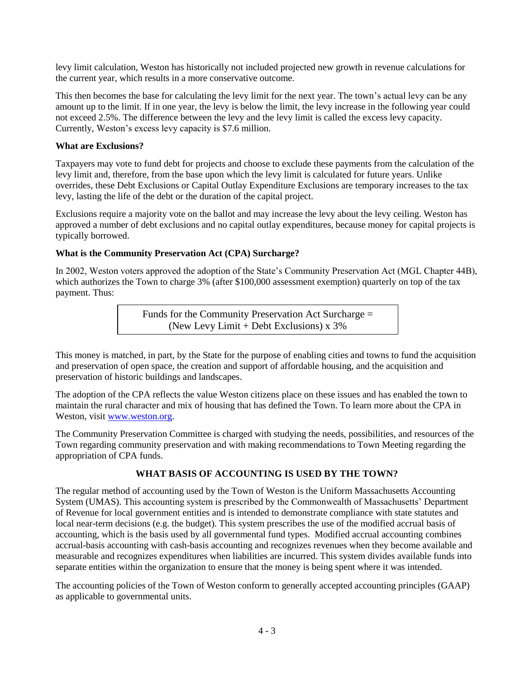levy limit calculation, Weston has historically not included projected new growth in revenue calculations for the current year, which results in a more conservative outcome.

This then becomes the base for calculating the levy limit for the next year. The town's actual levy can be any amount up to the limit. If in one year, the levy is below the limit, the levy increase in the following year could not exceed 2.5%. The difference between the levy and the levy limit is called the excess levy capacity. Currently, Weston's excess levy capacity is \$7.6 million.

## **What are Exclusions?**

Taxpayers may vote to fund debt for projects and choose to exclude these payments from the calculation of the levy limit and, therefore, from the base upon which the levy limit is calculated for future years. Unlike overrides, these Debt Exclusions or Capital Outlay Expenditure Exclusions are temporary increases to the tax levy, lasting the life of the debt or the duration of the capital project.

Exclusions require a majority vote on the ballot and may increase the levy about the levy ceiling. Weston has approved a number of debt exclusions and no capital outlay expenditures, because money for capital projects is typically borrowed.

## **What is the Community Preservation Act (CPA) Surcharge?**

In 2002, Weston voters approved the adoption of the State's Community Preservation Act (MGL Chapter 44B), which authorizes the Town to charge 3% (after \$100,000 assessment exemption) quarterly on top of the tax payment. Thus:

> Funds for the Community Preservation Act Surcharge = (New Levy Limit + Debt Exclusions)  $x$  3%

This money is matched, in part, by the State for the purpose of enabling cities and towns to fund the acquisition and preservation of open space, the creation and support of affordable housing, and the acquisition and preservation of historic buildings and landscapes.

The adoption of the CPA reflects the value Weston citizens place on these issues and has enabled the town to maintain the rural character and mix of housing that has defined the Town. To learn more about the CPA in Weston, visit [www.weston.org.](http://www.weston.org/)

The Community Preservation Committee is charged with studying the needs, possibilities, and resources of the Town regarding community preservation and with making recommendations to Town Meeting regarding the appropriation of CPA funds.

## **WHAT BASIS OF ACCOUNTING IS USED BY THE TOWN?**

The regular method of accounting used by the Town of Weston is the Uniform Massachusetts Accounting System (UMAS). This accounting system is prescribed by the Commonwealth of Massachusetts' Department of Revenue for local government entities and is intended to demonstrate compliance with state statutes and local near-term decisions (e.g. the budget). This system prescribes the use of the modified accrual basis of accounting, which is the basis used by all governmental fund types. Modified accrual accounting combines accrual-basis accounting with cash-basis accounting and recognizes revenues when they become available and measurable and recognizes expenditures when liabilities are incurred. This system divides available funds into separate entities within the organization to ensure that the money is being spent where it was intended.

The accounting policies of the Town of Weston conform to generally accepted accounting principles (GAAP) as applicable to governmental units.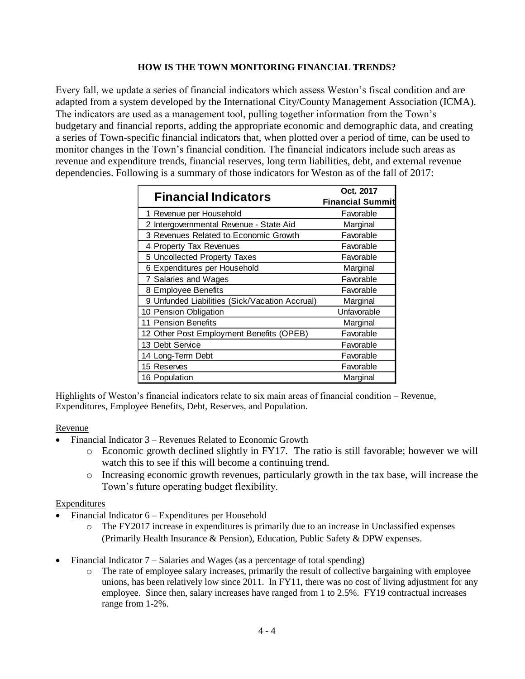## **HOW IS THE TOWN MONITORING FINANCIAL TRENDS?**

Every fall, we update a series of financial indicators which assess Weston's fiscal condition and are adapted from a system developed by the International City/County Management Association (ICMA). The indicators are used as a management tool, pulling together information from the Town's budgetary and financial reports, adding the appropriate economic and demographic data, and creating a series of Town-specific financial indicators that, when plotted over a period of time, can be used to monitor changes in the Town's financial condition. The financial indicators include such areas as revenue and expenditure trends, financial reserves, long term liabilities, debt, and external revenue dependencies. Following is a summary of those indicators for Weston as of the fall of 2017:

| <b>Financial Indicators</b>                    | Oct. 2017               |  |  |
|------------------------------------------------|-------------------------|--|--|
|                                                | <b>Financial Summit</b> |  |  |
| 1 Revenue per Household                        | Favorable               |  |  |
| 2 Intergovernmental Revenue - State Aid        | Marginal                |  |  |
| 3 Revenues Related to Economic Growth          | Favorable               |  |  |
| 4 Property Tax Revenues                        | Favorable               |  |  |
| 5 Uncollected Property Taxes                   | Favorable               |  |  |
| 6 Expenditures per Household                   | Marginal                |  |  |
| 7 Salaries and Wages                           | Favorable               |  |  |
| 8 Employee Benefits                            | Favorable               |  |  |
| 9 Unfunded Liabilities (Sick/Vacation Accrual) | Marginal                |  |  |
| 10 Pension Obligation                          | Unfavorable             |  |  |
| 11 Pension Benefits                            | Marginal                |  |  |
| 12 Other Post Employment Benefits (OPEB)       | Favorable               |  |  |
| 13 Debt Service                                | Favorable               |  |  |
| 14 Long-Term Debt                              | Favorable               |  |  |
| 15 Reserves                                    | Favorable               |  |  |
| 16 Population                                  | Marginal                |  |  |

Highlights of Weston's financial indicators relate to six main areas of financial condition – Revenue, Expenditures, Employee Benefits, Debt, Reserves, and Population.

#### Revenue

- Financial Indicator 3 Revenues Related to Economic Growth
	- o Economic growth declined slightly in FY17. The ratio is still favorable; however we will watch this to see if this will become a continuing trend.
	- $\circ$  Increasing economic growth revenues, particularly growth in the tax base, will increase the Town's future operating budget flexibility.

#### Expenditures

- Financial Indicator 6 Expenditures per Household
	- o The FY2017 increase in expenditures is primarily due to an increase in Unclassified expenses (Primarily Health Insurance & Pension), Education, Public Safety & DPW expenses.
- Financial Indicator 7 Salaries and Wages (as a percentage of total spending)
	- The rate of employee salary increases, primarily the result of collective bargaining with employee unions, has been relatively low since 2011. In FY11, there was no cost of living adjustment for any employee. Since then, salary increases have ranged from 1 to 2.5%. FY19 contractual increases range from 1-2%.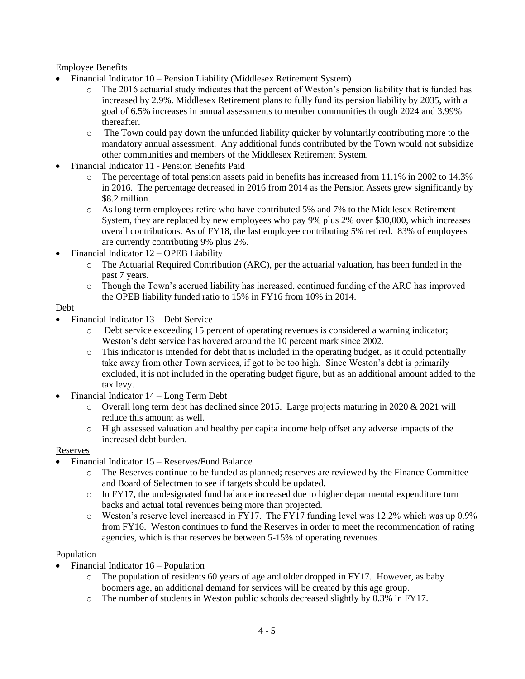## Employee Benefits

- Financial Indicator 10 Pension Liability (Middlesex Retirement System)
	- o The 2016 actuarial study indicates that the percent of Weston's pension liability that is funded has increased by 2.9%. Middlesex Retirement plans to fully fund its pension liability by 2035, with a goal of 6.5% increases in annual assessments to member communities through 2024 and 3.99% thereafter.
	- $\circ$  The Town could pay down the unfunded liability quicker by voluntarily contributing more to the mandatory annual assessment. Any additional funds contributed by the Town would not subsidize other communities and members of the Middlesex Retirement System.
- Financial Indicator 11 Pension Benefits Paid
	- o The percentage of total pension assets paid in benefits has increased from 11.1% in 2002 to 14.3% in 2016. The percentage decreased in 2016 from 2014 as the Pension Assets grew significantly by \$8.2 million.
	- o As long term employees retire who have contributed 5% and 7% to the Middlesex Retirement System, they are replaced by new employees who pay 9% plus 2% over \$30,000, which increases overall contributions. As of FY18, the last employee contributing 5% retired. 83% of employees are currently contributing 9% plus 2%.
- Financial Indicator 12 OPEB Liability
	- o The Actuarial Required Contribution (ARC), per the actuarial valuation, has been funded in the past 7 years.
	- o Though the Town's accrued liability has increased, continued funding of the ARC has improved the OPEB liability funded ratio to 15% in FY16 from 10% in 2014.

### Debt

- Financial Indicator 13 Debt Service
	- o Debt service exceeding 15 percent of operating revenues is considered a warning indicator; Weston's debt service has hovered around the 10 percent mark since 2002.
	- $\circ$  This indicator is intended for debt that is included in the operating budget, as it could potentially take away from other Town services, if got to be too high. Since Weston's debt is primarily excluded, it is not included in the operating budget figure, but as an additional amount added to the tax levy.
- Financial Indicator 14 Long Term Debt
	- $\circ$  Overall long term debt has declined since 2015. Large projects maturing in 2020 & 2021 will reduce this amount as well.
	- o High assessed valuation and healthy per capita income help offset any adverse impacts of the increased debt burden.

#### Reserves

- Financial Indicator 15 Reserves/Fund Balance
	- o The Reserves continue to be funded as planned; reserves are reviewed by the Finance Committee and Board of Selectmen to see if targets should be updated.
	- o In FY17, the undesignated fund balance increased due to higher departmental expenditure turn backs and actual total revenues being more than projected.
	- $\circ$  Weston's reserve level increased in FY17. The FY17 funding level was 12.2% which was up 0.9% from FY16. Weston continues to fund the Reserves in order to meet the recommendation of rating agencies, which is that reserves be between 5-15% of operating revenues.

## Population

- Financial Indicator 16 Population
	- o The population of residents 60 years of age and older dropped in FY17. However, as baby boomers age, an additional demand for services will be created by this age group.
	- o The number of students in Weston public schools decreased slightly by 0.3% in FY17.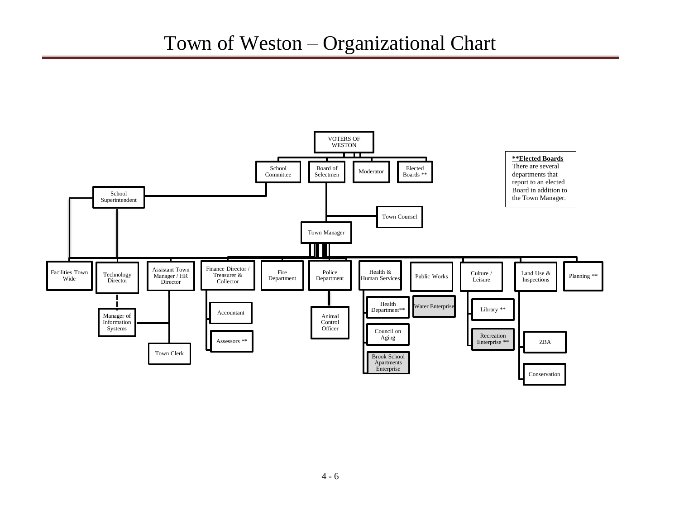## Town of Weston – Organizational Chart

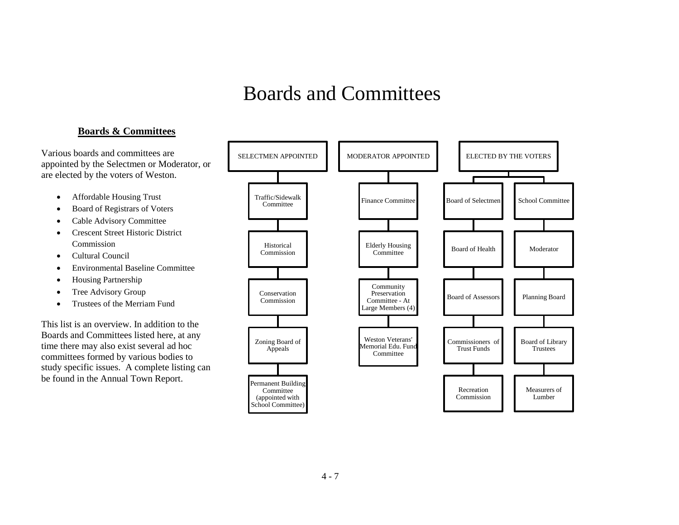## Boards and Committees

## **Boards & Committees**

Various boards and committees are appointed by the Selectmen or Moderator, or are elected by the voters of Weston.

- Affordable Housing Trust
- Board of Registrars of Voters
- Cable Advisory Committee
- Crescent Street Historic District Commission
- Cultural Council
- Environmental Baseline Committee
- Housing Partnership
- Tree Advisory Group
- Trustees of the Merriam Fund

This list is an overview. In addition to the Boards and Committees listed here, at any time there may also exist several ad hoc committees formed by various bodies to study specific issues. A complete listing can be found in the Annual Town Report.